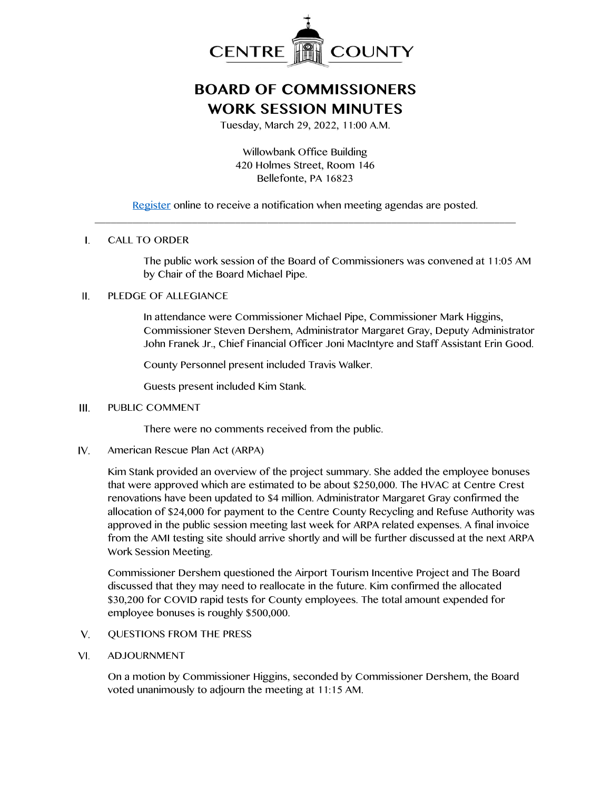

# **BOARD OF COMMISSIONERS WORK SESSION MINUTES**

Tuesday, March 29, 2022, 11:00 A.M.

Willowbank Office Building 420 Holmes Street, Room 146 Bellefonte, PA 16823

[Register](http://www.centrecountypa.gov/AgendaCenter) online to receive a notification when meeting agendas are posted. \_\_\_\_\_\_\_\_\_\_\_\_\_\_\_\_\_\_\_\_\_\_\_\_\_\_\_\_\_\_\_\_\_\_\_\_\_\_\_\_\_\_\_\_\_\_\_\_\_\_\_\_\_\_\_\_\_\_\_\_\_\_\_\_\_\_\_\_\_\_\_\_\_\_\_\_\_\_

### $\mathbf{L}$ CALL TO ORDER

The public work session of the Board of Commissioners was convened at 11:05 AM by Chair of the Board Michael Pipe.

## PLEDGE OF ALLEGIANCE II.

In attendance were Commissioner Michael Pipe, Commissioner Mark Higgins, Commissioner Steven Dershem, Administrator Margaret Gray, Deputy Administrator John Franek Jr., Chief Financial Officer Joni MacIntyre and Staff Assistant Erin Good.

County Personnel present included Travis Walker.

Guests present included Kim Stank.

### $III.$ PUBLIC COMMENT

There were no comments received from the public.

 $IV.$ American Rescue Plan Act (ARPA)

> Kim Stank provided an overview of the project summary. She added the employee bonuses that were approved which are estimated to be about \$250,000. The HVAC at Centre Crest renovations have been updated to \$4 million. Administrator Margaret Gray confirmed the allocation of \$24,000 for payment to the Centre County Recycling and Refuse Authority was approved in the public session meeting last week for ARPA related expenses. A final invoice from the AMI testing site should arrive shortly and will be further discussed at the next ARPA Work Session Meeting.

Commissioner Dershem questioned the Airport Tourism Incentive Project and The Board discussed that they may need to reallocate in the future. Kim confirmed the allocated \$30,200 for COVID rapid tests for County employees. The total amount expended for employee bonuses is roughly \$500,000.

- $V_{\cdot}$ QUESTIONS FROM THE PRESS
- VI. ADJOURNMENT

On a motion by Commissioner Higgins, seconded by Commissioner Dershem, the Board voted unanimously to adjourn the meeting at 11:15 AM.